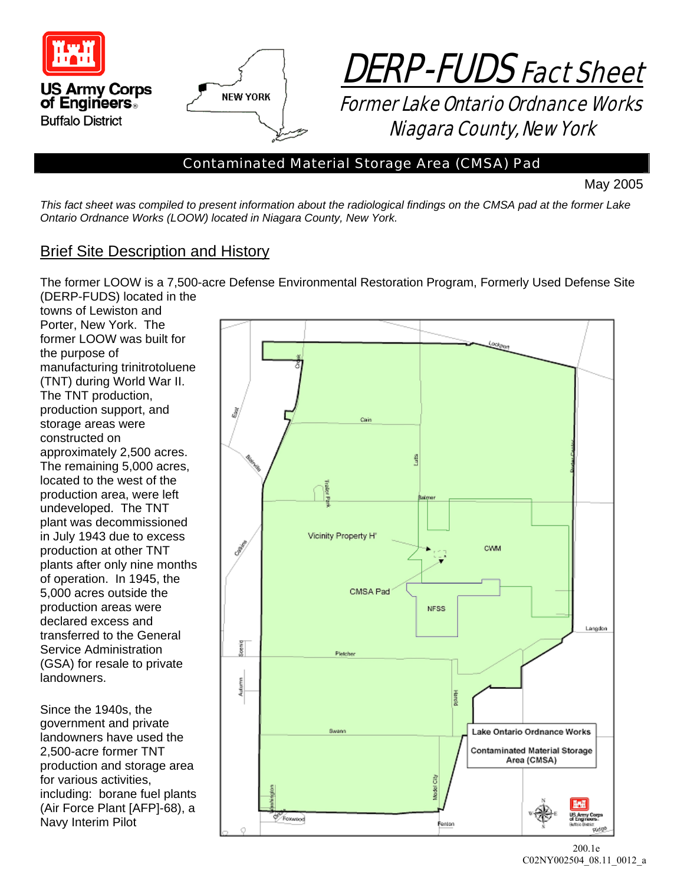



*Contaminated Material Storage Area (CMSA) Pad* 

May 2005

*This fact sheet was compiled to present information about the radiological findings on the CMSA pad at the former Lake Ontario Ordnance Works (LOOW) located in Niagara County, New York.* 

### Brief Site Description and History

The former LOOW is a 7,500-acre Defense Environmental Restoration Program, Formerly Used Defense Site (DERP-FUDS) located in the

towns of Lewiston and Porter, New York. The former LOOW was built for the purpose of manufacturing trinitrotoluene (TNT) during World War II. The TNT production, production support, and storage areas were constructed on approximately 2,500 acres. The remaining 5,000 acres, located to the west of the production area, were left undeveloped. The TNT plant was decommissioned in July 1943 due to excess production at other TNT plants after only nine months of operation. In 1945, the 5,000 acres outside the production areas were declared excess and transferred to the General Service Administration (GSA) for resale to private landowners.

Since the 1940s, the government and private landowners have used the 2,500-acre former TNT production and storage area for various activities, including: borane fuel plants (Air Force Plant [AFP]-68), a Navy Interim Pilot

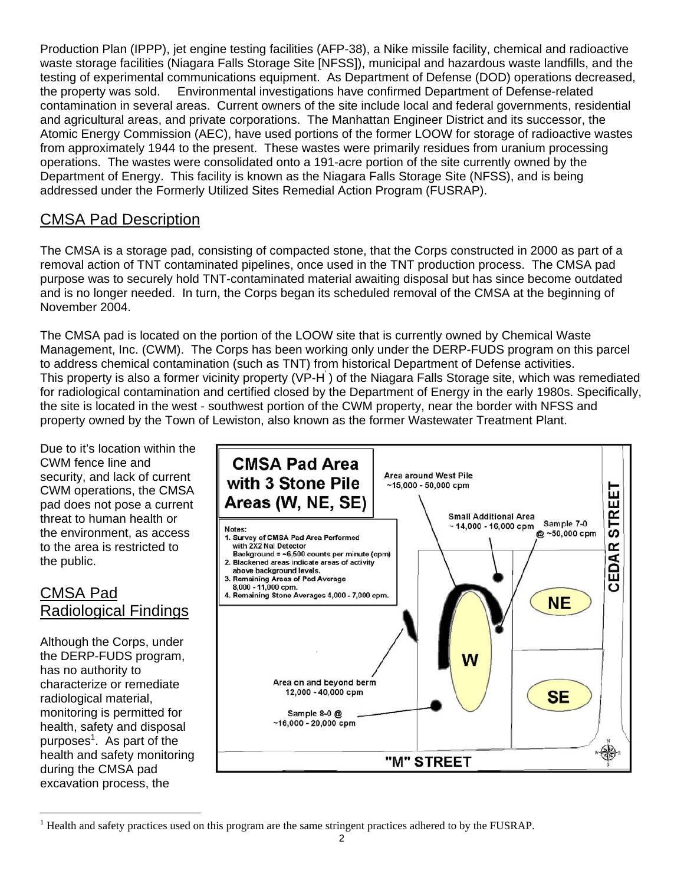Production Plan (IPPP), jet engine testing facilities (AFP-38), a Nike missile facility, chemical and radioactive waste storage facilities (Niagara Falls Storage Site [NFSS]), municipal and hazardous waste landfills, and the testing of experimental communications equipment. As Department of Defense (DOD) operations decreased, the property was sold. Environmental investigations have confirmed Department of Defense-related contamination in several areas. Current owners of the site include local and federal governments, residential and agricultural areas, and private corporations. The Manhattan Engineer District and its successor, the Atomic Energy Commission (AEC), have used portions of the former LOOW for storage of radioactive wastes from approximately 1944 to the present. These wastes were primarily residues from uranium processing operations. The wastes were consolidated onto a 191-acre portion of the site currently owned by the Department of Energy. This facility is known as the Niagara Falls Storage Site (NFSS), and is being addressed under the Formerly Utilized Sites Remedial Action Program (FUSRAP).

# CMSA Pad Description

The CMSA is a storage pad, consisting of compacted stone, that the Corps constructed in 2000 as part of a removal action of TNT contaminated pipelines, once used in the TNT production process. The CMSA pad purpose was to securely hold TNT-contaminated material awaiting disposal but has since become outdated and is no longer needed. In turn, the Corps began its scheduled removal of the CMSA at the beginning of November 2004.

The CMSA pad is located on the portion of the LOOW site that is currently owned by Chemical Waste Management, Inc. (CWM). The Corps has been working only under the DERP-FUDS program on this parcel to address chemical contamination (such as TNT) from historical Department of Defense activities. This property is also a former vicinity property (VP-H<sup>'</sup>) of the Niagara Falls Storage site, which was remediated for radiological contamination and certified closed by the Department of Energy in the early 1980s. Specifically, the site is located in the west - southwest portion of the CWM property, near the border with NFSS and property owned by the Town of Lewiston, also known as the former Wastewater Treatment Plant.

Due to it's location within the CWM fence line and security, and lack of current CWM operations, the CMSA pad does not pose a current threat to human health or the environment, as access to the area is restricted to the public.

# CMSA Pad Radiological Findings

Although the Corps, under the DERP-FUDS program, has no authority to characterize or remediate radiological material, monitoring is permitted for health, safety and disposal purposes<sup>1</sup>. As part of the health and safety monitoring during the CMSA pad excavation process, the



 $\overline{a}$ <sup>1</sup> Health and safety practices used on this program are the same stringent practices adhered to by the FUSRAP.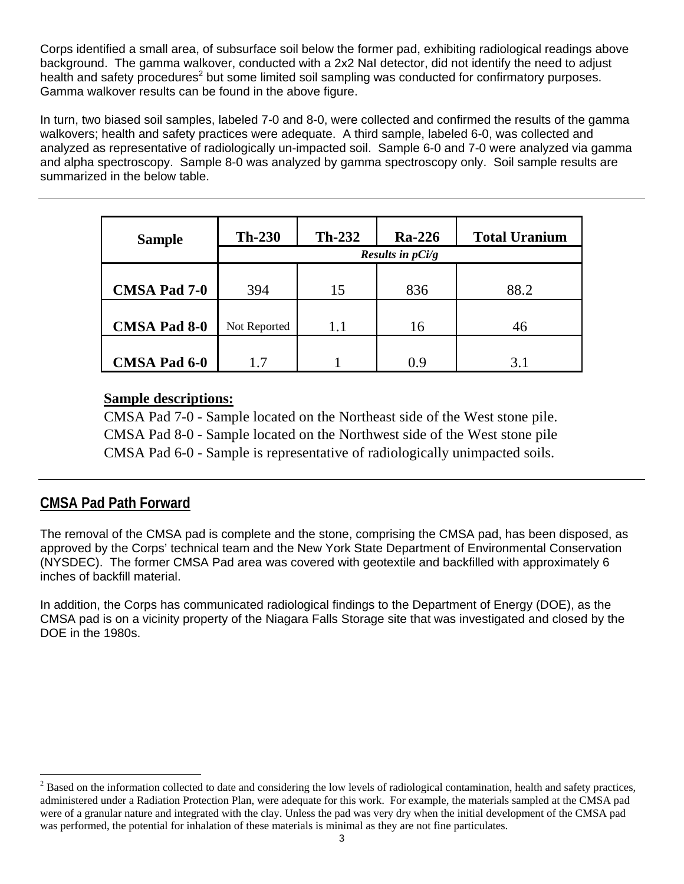Corps identified a small area, of subsurface soil below the former pad, exhibiting radiological readings above background. The gamma walkover, conducted with a 2x2 NaI detector, did not identify the need to adjust health and safety procedures<sup>2</sup> but some limited soil sampling was conducted for confirmatory purposes. Gamma walkover results can be found in the above figure.

In turn, two biased soil samples, labeled 7-0 and 8-0, were collected and confirmed the results of the gamma walkovers; health and safety practices were adequate. A third sample, labeled 6-0, was collected and analyzed as representative of radiologically un-impacted soil. Sample 6-0 and 7-0 were analyzed via gamma and alpha spectroscopy. Sample 8-0 was analyzed by gamma spectroscopy only. Soil sample results are summarized in the below table.

| <b>Sample</b>       | $Th-230$                             | $Th-232$ | <b>Ra-226</b> | <b>Total Uranium</b> |
|---------------------|--------------------------------------|----------|---------------|----------------------|
|                     | <i>Results in <math>pCi/g</math></i> |          |               |                      |
|                     |                                      |          |               |                      |
| <b>CMSA Pad 7-0</b> | 394                                  | 15       | 836           | 88.2                 |
|                     |                                      |          |               |                      |
| <b>CMSA Pad 8-0</b> | Not Reported                         | 1.1      | 16            | 46                   |
|                     |                                      |          |               |                      |
| <b>CMSA Pad 6-0</b> | 17                                   |          | 0.9           | 3.1                  |

#### **Sample descriptions:**

CMSA Pad 7-0 - Sample located on the Northeast side of the West stone pile. CMSA Pad 8-0 - Sample located on the Northwest side of the West stone pile CMSA Pad 6-0 - Sample is representative of radiologically unimpacted soils.

# **CMSA Pad Path Forward**

 $\overline{a}$ 

The removal of the CMSA pad is complete and the stone, comprising the CMSA pad, has been disposed, as approved by the Corps' technical team and the New York State Department of Environmental Conservation (NYSDEC). The former CMSA Pad area was covered with geotextile and backfilled with approximately 6 inches of backfill material.

In addition, the Corps has communicated radiological findings to the Department of Energy (DOE), as the CMSA pad is on a vicinity property of the Niagara Falls Storage site that was investigated and closed by the DOE in the 1980s.

 $2^2$  Based on the information collected to date and considering the low levels of radiological contamination, health and safety practices, administered under a Radiation Protection Plan, were adequate for this work. For example, the materials sampled at the CMSA pad were of a granular nature and integrated with the clay. Unless the pad was very dry when the initial development of the CMSA pad was performed, the potential for inhalation of these materials is minimal as they are not fine particulates.